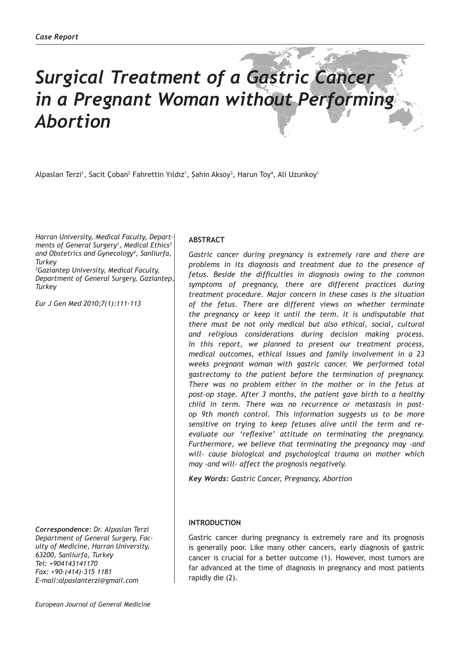# *Surgical Treatment of a Gastric Cancer in a Pregnant Woman without Performing Abortion*

Alpaslan Terzi', Sacit Çoban<sup>2</sup> Fahrettin Yıldız', Şahin Aksoy<sup>3</sup>, Harun Toy<sup>4</sup>, Ali Uzunkoy'

*Harran University, Medical Faculty, Departments of General Surgery1 , Medical Ethics3 and Obstetrics and Gynecology4 , Sanliurfa, Turkey*

*2 Gaziantep University, Medical Faculty, Department of General Surgery, Gaziantep, Turkey*

*Eur J Gen Med 2010;7(1):111-113*

*Correspondence: Dr. Alpaslan Terzi Department of General Surgery, Faculty of Medicine, Harran University, 63200, Sanliurfa, Turkey Tel: +904143141170 Fax: +90-(414)-315 1181 E-mail:alpaslanterzi@gmail.com*

## **ABSTRACT**

*Gastric cancer during pregnancy is extremely rare and there are problems in its diagnosis and treatment due to the presence of fetus. Beside the difficulties in diagnosis owing to the common symptoms of pregnancy, there are different practices during treatment procedure. Major concern in these cases is the situation of the fetus. There are different views on whether terminate the pregnancy or keep it until the term. It is undisputable that there must be not only medical but also ethical, social, cultural and religious considerations during decision making process. In this report, we planned to present our treatment process, medical outcomes, ethical issues and family involvement in a 23 weeks pregnant woman with gastric cancer. We performed total gastrectomy to the patient before the termination of pregnancy. There was no problem either in the mother or in the fetus at post-op stage. After 3 months, the patient gave birth to a healthy child in term. There was no recurrence or metastasis in postop 9th month control. This information suggests us to be more sensitive on trying to keep fetuses alive until the term and reevaluate our 'reflexive' attitude on terminating the pregnancy. Furthermore, we believe that terminating the pregnancy may –and will- cause biological and psychological trauma on mother which may –and will- affect the prognosis negatively.* 

*Key Words: Gastric Cancer, Pregnancy, Abortion*

#### **INTRODUCTION**

Gastric cancer during pregnancy is extremely rare and its prognosis is generally poor. Like many other cancers, early diagnosis of gastric cancer is crucial for a better outcome (1). However, most tumors are far advanced at the time of diagnosis in pregnancy and most patients rapidly die (2).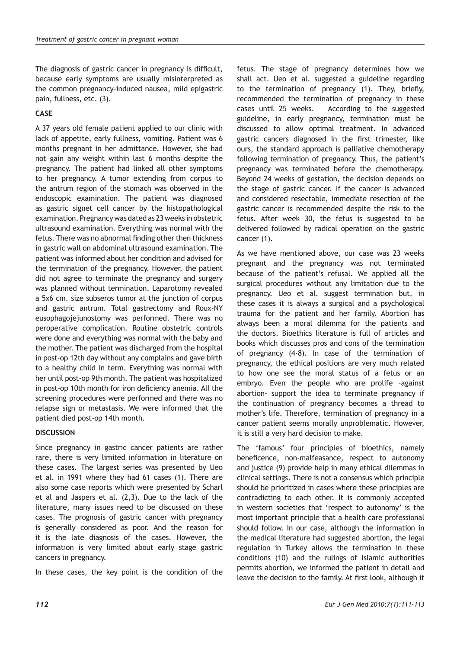The diagnosis of gastric cancer in pregnancy is difficult, because early symptoms are usually misinterpreted as the common pregnancy-induced nausea, mild epigastric pain, fullness, etc. (3).

# **CASE**

A 37 years old female patient applied to our clinic with lack of appetite, early fullness, vomiting. Patient was 6 months pregnant in her admittance. However, she had not gain any weight within last 6 months despite the pregnancy. The patient had linked all other symptoms to her pregnancy. A tumor extending from corpus to the antrum region of the stomach was observed in the endoscopic examination. The patient was diagnosed as gastric signet cell cancer by the histopathological examination. Pregnancy was dated as 23 weeks in obstetric ultrasound examination. Everything was normal with the fetus. There was no abnormal finding other then thickness in gastric wall on abdominal ultrasound examination. The patient was informed about her condition and advised for the termination of the pregnancy. However, the patient did not agree to terminate the pregnancy and surgery was planned without termination. Laparotomy revealed a 5x6 cm. size subseros tumor at the junction of corpus and gastric antrum. Total gastrectomy and Roux-NY eusophagojejunostomy was performed. There was no peroperative complication. Routine obstetric controls were done and everything was normal with the baby and the mother. The patient was discharged from the hospital in post-op 12th day without any complains and gave birth to a healthy child in term. Everything was normal with her until post-op 9th month. The patient was hospitalized in post-op 10th month for iron deficiency anemia. All the screening procedures were performed and there was no relapse sign or metastasis. We were informed that the patient died post-op 14th month.

## **DISCUSSION**

Since pregnancy in gastric cancer patients are rather rare, there is very limited information in literature on these cases. The largest series was presented by Ueo et al. in 1991 where they had 61 cases (1). There are also some case reports which were presented by Scharl et al and Jaspers et al. (2,3). Due to the lack of the literature, many issues need to be discussed on these cases. The prognosis of gastric cancer with pregnancy is generally considered as poor. And the reason for it is the late diagnosis of the cases. However, the information is very limited about early stage gastric cancers in pregnancy.

In these cases, the key point is the condition of the

fetus. The stage of pregnancy determines how we shall act. Ueo et al. suggested a guideline regarding to the termination of pregnancy (1). They, briefly, recommended the termination of pregnancy in these cases until 25 weeks. According to the suggested guideline, in early pregnancy, termination must be discussed to allow optimal treatment. In advanced gastric cancers diagnosed in the first trimester, like ours, the standard approach is palliative chemotherapy following termination of pregnancy. Thus, the patient's pregnancy was terminated before the chemotherapy. Beyond 24 weeks of gestation, the decision depends on the stage of gastric cancer. If the cancer is advanced and considered resectable, immediate resection of the gastric cancer is recommended despite the risk to the fetus. After week 30, the fetus is suggested to be delivered followed by radical operation on the gastric cancer (1).

As we have mentioned above, our case was 23 weeks pregnant and the pregnancy was not terminated because of the patient's refusal. We applied all the surgical procedures without any limitation due to the pregnancy. Ueo et al. suggest termination but, in these cases it is always a surgical and a psychological trauma for the patient and her family. Abortion has always been a moral dilemma for the patients and the doctors. Bioethics literature is full of articles and books which discusses pros and cons of the termination of pregnancy (4-8). In case of the termination of pregnancy, the ethical positions are very much related to how one see the moral status of a fetus or an embryo. Even the people who are prolife –against abortion- support the idea to terminate pregnancy if the continuation of pregnancy becomes a thread to mother's life. Therefore, termination of pregnancy in a cancer patient seems morally unproblematic. However, it is still a very hard decision to make.

The 'famous' four principles of bioethics, namely beneficence, non-malfeasance, respect to autonomy and justice (9) provide help in many ethical dilemmas in clinical settings. There is not a consensus which principle should be prioritized in cases where these principles are contradicting to each other. It is commonly accepted in western societies that 'respect to autonomy' is the most important principle that a health care professional should follow. In our case, although the information in the medical literature had suggested abortion, the legal regulation in Turkey allows the termination in these conditions (10) and the rulings of Islamic authorities permits abortion, we informed the patient in detail and leave the decision to the family. At first look, although it